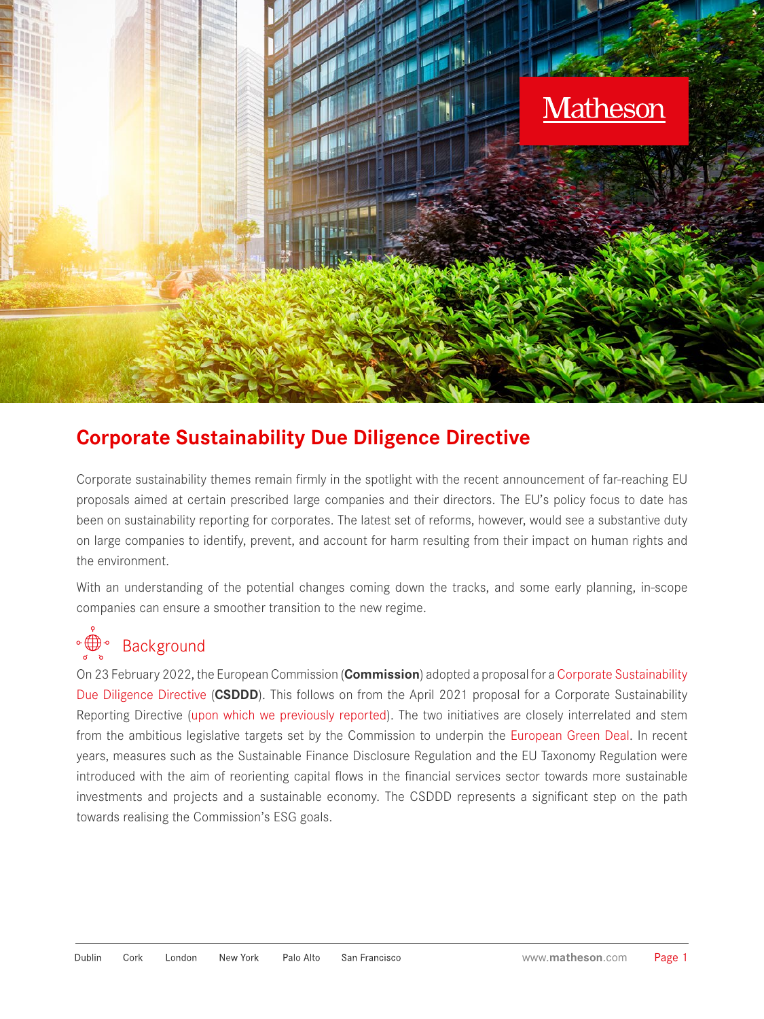

### **Corporate Sustainability Due Diligence Directive**

Corporate sustainability themes remain firmly in the spotlight with the recent announcement of far-reaching EU proposals aimed at certain prescribed large companies and their directors. The EU's policy focus to date has been on sustainability reporting for corporates. The latest set of reforms, however, would see a substantive duty on large companies to identify, prevent, and account for harm resulting from their impact on human rights and the environment.

With an understanding of the potential changes coming down the tracks, and some early planning, in-scope companies can ensure a smoother transition to the new regime.

### ◦∰◦ Background

On 23 February 2022, the European Commission (**Commission**) adopted a proposal for a [Corporate Sustainability](https://ec.europa.eu/info/business-economy-euro/doing-business-eu/corporate-sustainability-due-diligence_en)  [Due Diligence Directive](https://ec.europa.eu/info/business-economy-euro/doing-business-eu/corporate-sustainability-due-diligence_en) (**CSDDD**). This follows on from the April 2021 proposal for a Corporate Sustainability Reporting Directive [\(upon which we previously reported\)](https://www.matheson.com/docs/default-source/practice-area-attachments/sustainability-reporting-for-corporates.pdf?sfvrsn=99b9e8c5_4). The two initiatives are closely interrelated and stem from the ambitious legislative targets set by the Commission to underpin the [European Green Deal](https://ec.europa.eu/info/strategy/priorities-2019-2024/european-green-deal_en). In recent years, measures such as the Sustainable Finance Disclosure Regulation and the EU Taxonomy Regulation were introduced with the aim of reorienting capital flows in the financial services sector towards more sustainable investments and projects and a sustainable economy. The CSDDD represents a significant step on the path towards realising the Commission's ESG goals.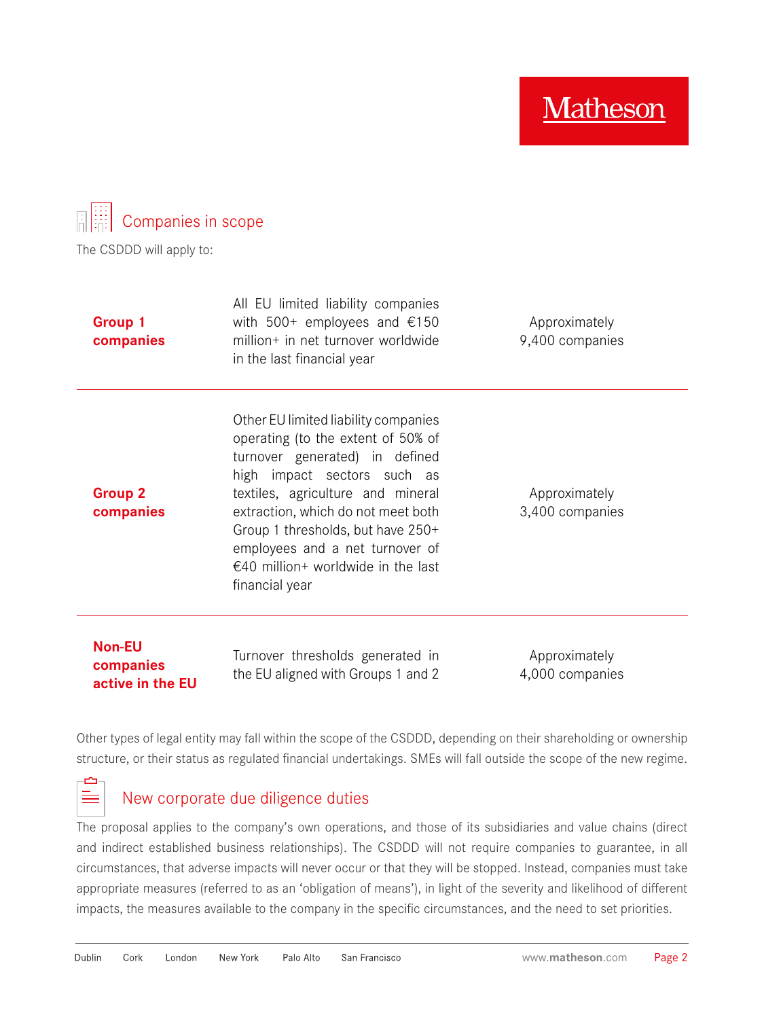**Matheson** 



The CSDDD will apply to:

| <b>Group 1</b><br>companies | All EU limited liability companies<br>with $500+$ employees and $£150$<br>million+ in net turnover worldwide<br>in the last financial year                                                                                                                                                                                                             | Approximately<br>9,400 companies |
|-----------------------------|--------------------------------------------------------------------------------------------------------------------------------------------------------------------------------------------------------------------------------------------------------------------------------------------------------------------------------------------------------|----------------------------------|
| <b>Group 2</b><br>companies | Other EU limited liability companies<br>operating (to the extent of 50% of<br>turnover generated) in defined<br>high impact sectors such as<br>textiles, agriculture and mineral<br>extraction, which do not meet both<br>Group 1 thresholds, but have 250+<br>employees and a net turnover of<br>€40 million+ worldwide in the last<br>financial year | Approximately<br>3,400 companies |
| <b>Non-EU</b><br>companies  | Turnover thresholds generated in                                                                                                                                                                                                                                                                                                                       | Approximately                    |

**companies active in the EU**

Þ 늘 the EU aligned with Groups 1 and 2

4,000 companies

Other types of legal entity may fall within the scope of the CSDDD, depending on their shareholding or ownership structure, or their status as regulated financial undertakings. SMEs will fall outside the scope of the new regime.

### New corporate due diligence duties

The proposal applies to the company's own operations, and those of its subsidiaries and value chains (direct and indirect established business relationships). The CSDDD will not require companies to guarantee, in all circumstances, that adverse impacts will never occur or that they will be stopped. Instead, companies must take appropriate measures (referred to as an 'obligation of means'), in light of the severity and likelihood of different impacts, the measures available to the company in the specific circumstances, and the need to set priorities.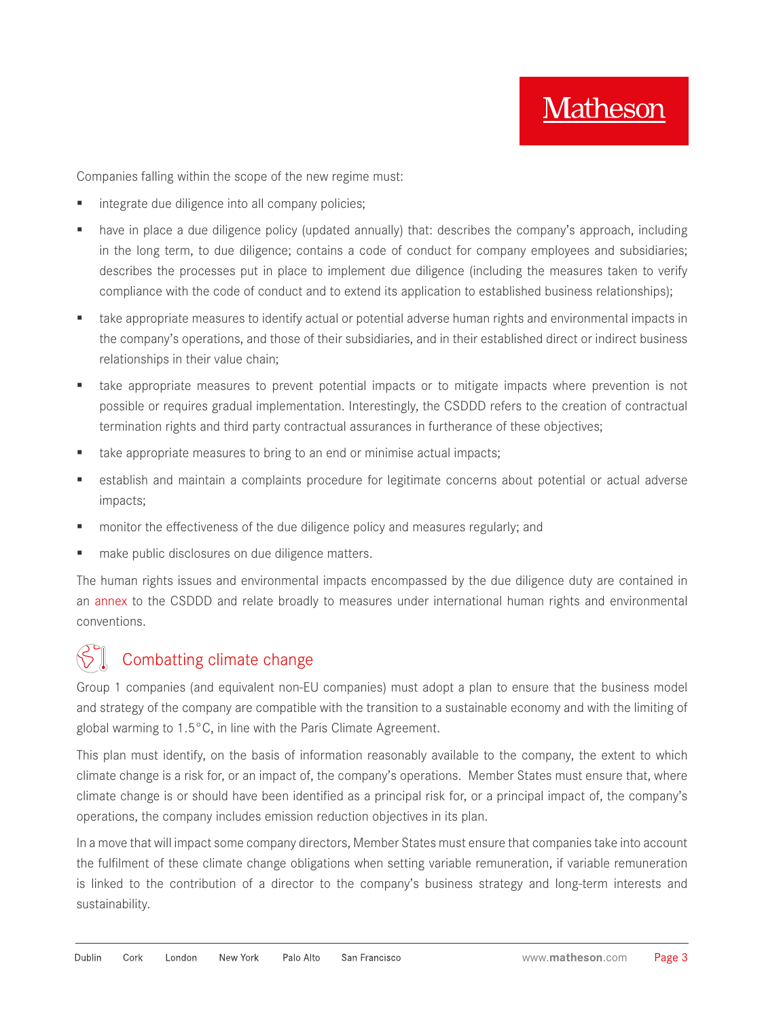Companies falling within the scope of the new regime must:

- integrate due diligence into all company policies;
- have in place a due diligence policy (updated annually) that: describes the company's approach, including in the long term, to due diligence; contains a code of conduct for company employees and subsidiaries; describes the processes put in place to implement due diligence (including the measures taken to verify compliance with the code of conduct and to extend its application to established business relationships);
- **take appropriate measures to identify actual or potential adverse human rights and environmental impacts in** the company's operations, and those of their subsidiaries, and in their established direct or indirect business relationships in their value chain;
- **t** take appropriate measures to prevent potential impacts or to mitigate impacts where prevention is not possible or requires gradual implementation. Interestingly, the CSDDD refers to the creation of contractual termination rights and third party contractual assurances in furtherance of these objectives;
- **take appropriate measures to bring to an end or minimise actual impacts;**
- establish and maintain a complaints procedure for legitimate concerns about potential or actual adverse impacts;
- **number 1** monitor the effectiveness of the due diligence policy and measures regularly; and
- make public disclosures on due diligence matters.

The human rights issues and environmental impacts encompassed by the due diligence duty are contained in an [annex](https://ec.europa.eu/info/publications/proposal-directive-corporate-sustainable-due-diligence-and-annex_en) to the CSDDD and relate broadly to measures under international human rights and environmental conventions.

### Combatting climate change

Group 1 companies (and equivalent non-EU companies) must adopt a plan to ensure that the business model and strategy of the company are compatible with the transition to a sustainable economy and with the limiting of global warming to 1.5°C, in line with the Paris Climate Agreement.

This plan must identify, on the basis of information reasonably available to the company, the extent to which climate change is a risk for, or an impact of, the company's operations. Member States must ensure that, where climate change is or should have been identified as a principal risk for, or a principal impact of, the company's operations, the company includes emission reduction objectives in its plan.

In a move that will impact some company directors, Member States must ensure that companies take into account the fulfilment of these climate change obligations when setting variable remuneration, if variable remuneration is linked to the contribution of a director to the company's business strategy and long-term interests and sustainability.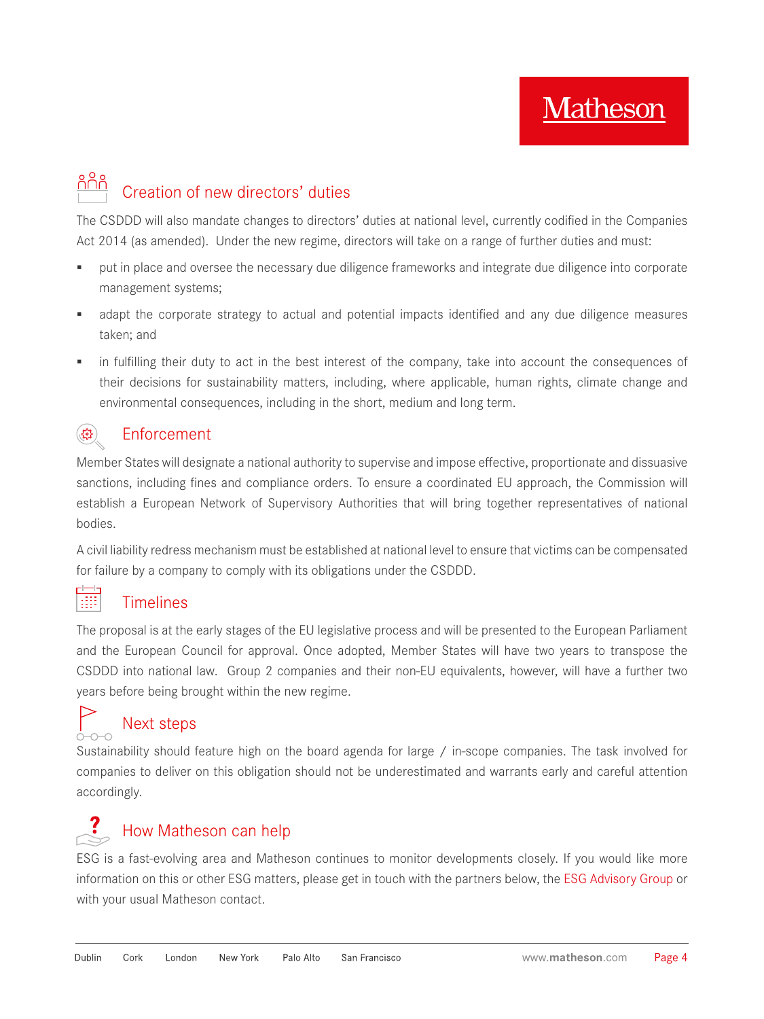## Creation of new directors' duties

The CSDDD will also mandate changes to directors' duties at national level, currently codified in the Companies Act 2014 (as amended). Under the new regime, directors will take on a range of further duties and must:

- put in place and oversee the necessary due diligence frameworks and integrate due diligence into corporate management systems;
- adapt the corporate strategy to actual and potential impacts identified and any due diligence measures taken; and
- in fulfilling their duty to act in the best interest of the company, take into account the consequences of their decisions for sustainability matters, including, where applicable, human rights, climate change and environmental consequences, including in the short, medium and long term.

#### $\mathcal{L}$ Enforcement

Member States will designate a national authority to supervise and impose effective, proportionate and dissuasive sanctions, including fines and compliance orders. To ensure a coordinated EU approach, the Commission will establish a European Network of Supervisory Authorities that will bring together representatives of national bodies.

A civil liability redress mechanism must be established at national level to ensure that victims can be compensated for failure by a company to comply with its obligations under the CSDDD.

#### H Timelines

The proposal is at the early stages of the EU legislative process and will be presented to the European Parliament and the European Council for approval. Once adopted, Member States will have two years to transpose the CSDDD into national law. Group 2 companies and their non-EU equivalents, however, will have a further two years before being brought within the new regime.

# Next steps

Sustainability should feature high on the board agenda for large / in-scope companies. The task involved for companies to deliver on this obligation should not be underestimated and warrants early and careful attention accordingly.

## $\mathcal{L}$  How Matheson can help

ESG is a fast-evolving area and Matheson continues to monitor developments closely. If you would like more information on this or other ESG matters, please get in touch with the partners below, the [ESG Advisory Group](https://www.matheson.com/esg-advisory-group) or with your usual Matheson contact.